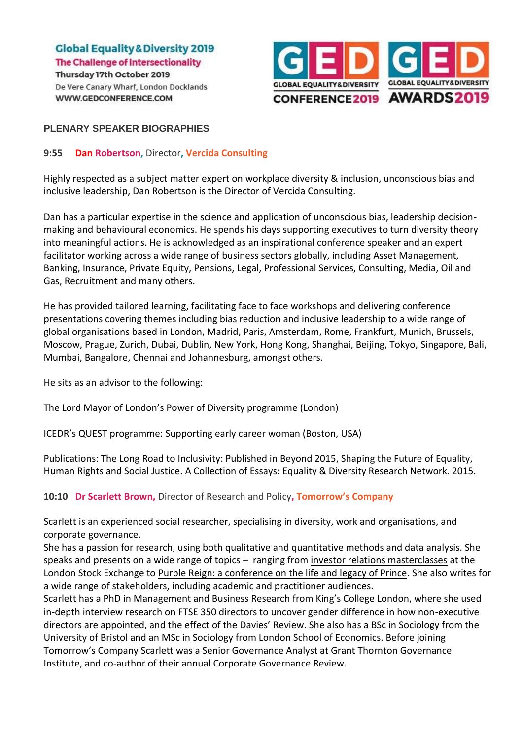

## **PLENARY SPEAKER BIOGRAPHIES**

## **9:55 Dan Robertson,** Director**, Vercida Consulting**

Highly respected as a subject matter expert on workplace diversity & inclusion, unconscious bias and inclusive leadership, Dan Robertson is the Director of Vercida Consulting.

Dan has a particular expertise in the science and application of unconscious bias, leadership decisionmaking and behavioural economics. He spends his days supporting executives to turn diversity theory into meaningful actions. He is acknowledged as an inspirational conference speaker and an expert facilitator working across a wide range of business sectors globally, including Asset Management, Banking, Insurance, Private Equity, Pensions, Legal, Professional Services, Consulting, Media, Oil and Gas, Recruitment and many others.

He has provided tailored learning, facilitating face to face workshops and delivering conference presentations covering themes including bias reduction and inclusive leadership to a wide range of global organisations based in London, Madrid, Paris, Amsterdam, Rome, Frankfurt, Munich, Brussels, Moscow, Prague, Zurich, Dubai, Dublin, New York, Hong Kong, Shanghai, Beijing, Tokyo, Singapore, Bali, Mumbai, Bangalore, Chennai and Johannesburg, amongst others.

He sits as an advisor to the following:

The Lord Mayor of London's Power of Diversity programme (London)

ICEDR's QUEST programme: Supporting early career woman (Boston, USA)

Publications: The Long Road to Inclusivity: Published in Beyond 2015, Shaping the Future of Equality, Human Rights and Social Justice. A Collection of Essays: Equality & Diversity Research Network. 2015.

**10:10 Dr Scarlett Brown,** Director of Research and Policy**, Tomorrow's Company**

Scarlett is an experienced social researcher, specialising in diversity, work and organisations, and corporate governance.

She has a passion for research, using both qualitative and quantitative methods and data analysis. She speaks and presents on a wide range of topics – ranging from [investor relations masterclasses](https://www.lseg.com/markets-products-and-services/business-services/academy/academy-uk-campus) at the London Stock Exchange to [Purple Reign: a conference on the life and legacy of Prince.](https://www.salford.ac.uk/news/articles/2017/purple-reign-the-sublime-mystery-of-prince) She also writes for a wide range of stakeholders, including academic and practitioner audiences.

Scarlett has a PhD in Management and Business Research from King's College London, where she used in-depth interview research on FTSE 350 directors to uncover gender difference in how non-executive directors are appointed, and the effect of the Davies' Review. She also has a BSc in Sociology from the University of Bristol and an MSc in Sociology from London School of Economics. Before joining Tomorrow's Company Scarlett was a Senior Governance Analyst at Grant Thornton Governance Institute, and co-author of their annual Corporate Governance Review.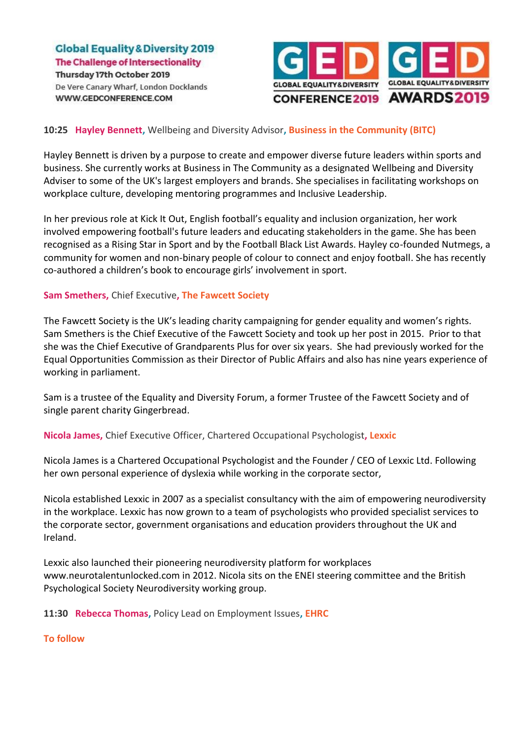

## **10:25 Hayley Bennett,** Wellbeing and Diversity Advisor**, Business in the Community (BITC)**

Hayley Bennett is driven by a purpose to create and empower diverse future leaders within sports and business. She currently works at Business in The Community as a designated Wellbeing and Diversity Adviser to some of the UK's largest employers and brands. She specialises in facilitating workshops on workplace culture, developing mentoring programmes and Inclusive Leadership.

In her previous role at Kick It Out, English football's equality and inclusion organization, her work involved empowering football's future leaders and educating stakeholders in the game. She has been recognised as a Rising Star in Sport and by the Football Black List Awards. Hayley co-founded Nutmegs, a community for women and non-binary people of colour to connect and enjoy football. She has recently co-authored a children's book to encourage girls' involvement in sport.

#### **Sam Smethers,** Chief Executive**, The Fawcett Society**

The Fawcett Society is the UK's leading charity campaigning for gender equality and women's rights. Sam Smethers is the Chief Executive of the Fawcett Society and took up her post in 2015. Prior to that she was the Chief Executive of Grandparents Plus for over six years. She had previously worked for the Equal Opportunities Commission as their Director of Public Affairs and also has nine years experience of working in parliament.

Sam is a trustee of the Equality and Diversity Forum, a former Trustee of the Fawcett Society and of single parent charity Gingerbread.

**Nicola James,** Chief Executive Officer, Chartered Occupational Psychologist**, Lexxic**

Nicola James is a Chartered Occupational Psychologist and the Founder / CEO of Lexxic Ltd. Following her own personal experience of dyslexia while working in the corporate sector,

Nicola established Lexxic in 2007 as a specialist consultancy with the aim of empowering neurodiversity in the workplace. Lexxic has now grown to a team of psychologists who provided specialist services to the corporate sector, government organisations and education providers throughout the UK and Ireland.

Lexxic also launched their pioneering neurodiversity platform for workplaces www.neurotalentunlocked.com in 2012. Nicola sits on the ENEI steering committee and the British Psychological Society Neurodiversity working group.

**11:30 Rebecca Thomas,** Policy Lead on Employment Issues**, EHRC**

## **To follow**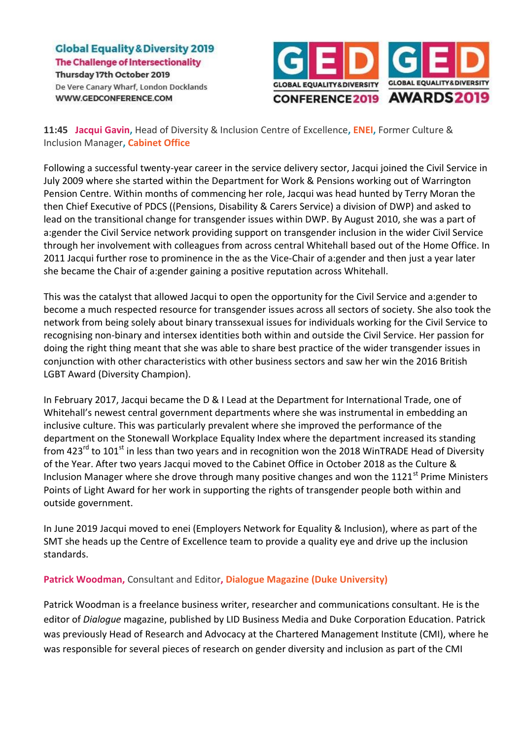

**11:45 Jacqui Gavin,** Head of Diversity & Inclusion Centre of Excellence**, ENEI,** Former Culture & Inclusion Manager**, Cabinet Office**

Following a successful twenty-year career in the service delivery sector, Jacqui joined the Civil Service in July 2009 where she started within the Department for Work & Pensions working out of Warrington Pension Centre. Within months of commencing her role, Jacqui was head hunted by Terry Moran the then Chief Executive of PDCS ((Pensions, Disability & Carers Service) a division of DWP) and asked to lead on the transitional change for transgender issues within DWP. By August 2010, she was a part of a:gender the Civil Service network providing support on transgender inclusion in the wider Civil Service through her involvement with colleagues from across central Whitehall based out of the Home Office. In 2011 Jacqui further rose to prominence in the as the Vice-Chair of a:gender and then just a year later she became the Chair of a:gender gaining a positive reputation across Whitehall.

This was the catalyst that allowed Jacqui to open the opportunity for the Civil Service and a:gender to become a much respected resource for transgender issues across all sectors of society. She also took the network from being solely about binary transsexual issues for individuals working for the Civil Service to recognising non-binary and intersex identities both within and outside the Civil Service. Her passion for doing the right thing meant that she was able to share best practice of the wider transgender issues in conjunction with other characteristics with other business sectors and saw her win the 2016 British LGBT Award (Diversity Champion).

In February 2017, Jacqui became the D & I Lead at the Department for International Trade, one of Whitehall's newest central government departments where she was instrumental in embedding an inclusive culture. This was particularly prevalent where she improved the performance of the department on the Stonewall Workplace Equality Index where the department increased its standing from 423<sup>rd</sup> to 101<sup>st</sup> in less than two years and in recognition won the 2018 WinTRADE Head of Diversity of the Year. After two years Jacqui moved to the Cabinet Office in October 2018 as the Culture & Inclusion Manager where she drove through many positive changes and won the 1121<sup>st</sup> Prime Ministers Points of Light Award for her work in supporting the rights of transgender people both within and outside government.

In June 2019 Jacqui moved to enei (Employers Network for Equality & Inclusion), where as part of the SMT she heads up the Centre of Excellence team to provide a quality eye and drive up the inclusion standards.

# **Patrick Woodman,** Consultant and Editor**, Dialogue Magazine (Duke University)**

Patrick Woodman is a freelance business writer, researcher and communications consultant. He is the editor of *Dialogue* magazine, published by LID Business Media and Duke Corporation Education. Patrick was previously Head of Research and Advocacy at the Chartered Management Institute (CMI), where he was responsible for several pieces of research on gender diversity and inclusion as part of the CMI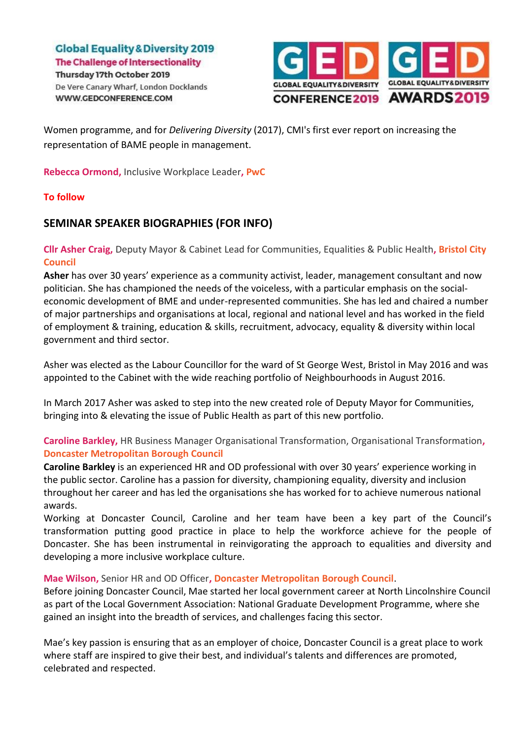

Women programme, and for *Delivering Diversity* (2017), CMI's first ever report on increasing the representation of BAME people in management.

**Rebecca Ormond, Inclusive Workplace Leader, PwC** 

## **To follow**

# **SEMINAR SPEAKER BIOGRAPHIES (FOR INFO)**

**Cllr Asher Craig,** Deputy Mayor & Cabinet Lead for Communities, Equalities & Public Health**, Bristol City Council**

**Asher** has over 30 years' experience as a community activist, leader, management consultant and now politician. She has championed the needs of the voiceless, with a particular emphasis on the socialeconomic development of BME and under-represented communities. She has led and chaired a number of major partnerships and organisations at local, regional and national level and has worked in the field of employment & training, education & skills, recruitment, advocacy, equality & diversity within local government and third sector.

Asher was elected as the Labour Councillor for the ward of St George West, Bristol in May 2016 and was appointed to the Cabinet with the wide reaching portfolio of Neighbourhoods in August 2016.

In March 2017 Asher was asked to step into the new created role of Deputy Mayor for Communities, bringing into & elevating the issue of Public Health as part of this new portfolio.

**Caroline Barkley,** HR Business Manager Organisational Transformation, Organisational Transformation**, Doncaster Metropolitan Borough Council**

**Caroline Barkley** is an experienced HR and OD professional with over 30 years' experience working in the public sector. Caroline has a passion for diversity, championing equality, diversity and inclusion throughout her career and has led the organisations she has worked for to achieve numerous national awards.

Working at Doncaster Council, Caroline and her team have been a key part of the Council's transformation putting good practice in place to help the workforce achieve for the people of Doncaster. She has been instrumental in reinvigorating the approach to equalities and diversity and developing a more inclusive workplace culture.

# **Mae Wilson,** Senior HR and OD Officer**, Doncaster Metropolitan Borough Council**.

Before joining Doncaster Council, Mae started her local government career at North Lincolnshire Council as part of the Local Government Association: National Graduate Development Programme, where she gained an insight into the breadth of services, and challenges facing this sector.

Mae's key passion is ensuring that as an employer of choice, Doncaster Council is a great place to work where staff are inspired to give their best, and individual's talents and differences are promoted, celebrated and respected.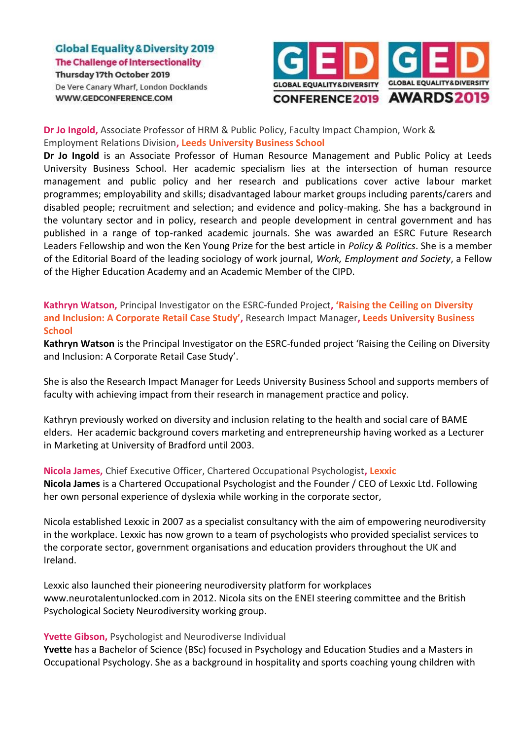

## **Dr Jo Ingold,** Associate Professor of HRM & Public Policy, Faculty Impact Champion, Work & Employment Relations Division**, Leeds University Business School**

**Dr Jo Ingold** is an Associate Professor of Human Resource Management and Public Policy at Leeds University Business School. Her academic specialism lies at the intersection of human resource management and public policy and her research and publications cover active labour market programmes; employability and skills; disadvantaged labour market groups including parents/carers and disabled people; recruitment and selection; and evidence and policy-making. She has a background in the voluntary sector and in policy, research and people development in central government and has published in a range of top-ranked academic journals. She was awarded an ESRC Future Research Leaders Fellowship and won the Ken Young Prize for the best article in *Policy & Politics*. She is a member of the Editorial Board of the leading sociology of work journal, *Work, Employment and Society*, a Fellow of the Higher Education Academy and an Academic Member of the CIPD.

**Kathryn Watson,** Principal Investigator on the ESRC-funded Project**, 'Raising the Ceiling on Diversity and Inclusion: A Corporate Retail Case Study',** Research Impact Manager**, Leeds University Business School**

**Kathryn Watson** is the Principal Investigator on the ESRC-funded project 'Raising the Ceiling on Diversity and Inclusion: A Corporate Retail Case Study'.

She is also the Research Impact Manager for Leeds University Business School and supports members of faculty with achieving impact from their research in management practice and policy.

Kathryn previously worked on diversity and inclusion relating to the health and social care of BAME elders. Her academic background covers marketing and entrepreneurship having worked as a Lecturer in Marketing at University of Bradford until 2003.

**Nicola James,** Chief Executive Officer, Chartered Occupational Psychologist**, Lexxic Nicola James** is a Chartered Occupational Psychologist and the Founder / CEO of Lexxic Ltd. Following her own personal experience of dyslexia while working in the corporate sector,

Nicola established Lexxic in 2007 as a specialist consultancy with the aim of empowering neurodiversity in the workplace. Lexxic has now grown to a team of psychologists who provided specialist services to the corporate sector, government organisations and education providers throughout the UK and Ireland.

Lexxic also launched their pioneering neurodiversity platform for workplaces www.neurotalentunlocked.com in 2012. Nicola sits on the ENEI steering committee and the British Psychological Society Neurodiversity working group.

## **Yvette Gibson,** Psychologist and Neurodiverse Individual

**Yvette** has a Bachelor of Science (BSc) focused in Psychology and Education Studies and a Masters in Occupational Psychology. She as a background in hospitality and sports coaching young children with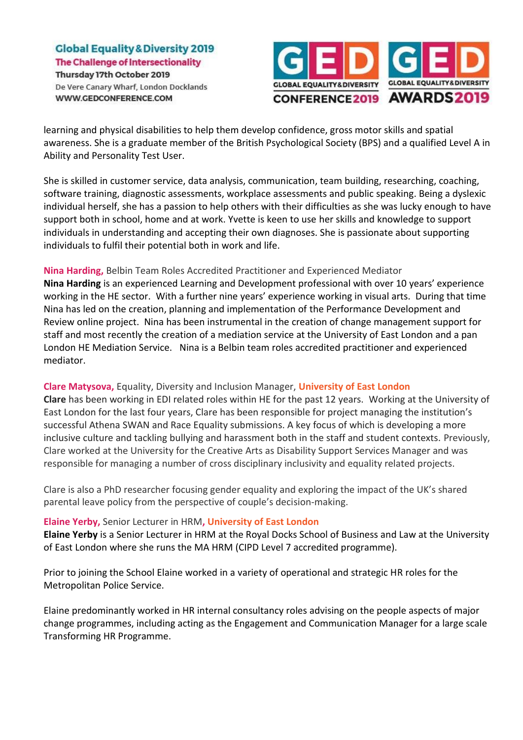

learning and physical disabilities to help them develop confidence, gross motor skills and spatial awareness. She is a graduate member of the British Psychological Society (BPS) and a qualified Level A in Ability and Personality Test User.

She is skilled in customer service, data analysis, communication, team building, researching, coaching, software training, diagnostic assessments, workplace assessments and public speaking. Being a dyslexic individual herself, she has a passion to help others with their difficulties as she was lucky enough to have support both in school, home and at work. Yvette is keen to use her skills and knowledge to support individuals in understanding and accepting their own diagnoses. She is passionate about supporting individuals to fulfil their potential both in work and life.

## **Nina Harding,** Belbin Team Roles Accredited Practitioner and Experienced Mediator

**Nina Harding** is an experienced Learning and Development professional with over 10 years' experience working in the HE sector. With a further nine years' experience working in visual arts. During that time Nina has led on the creation, planning and implementation of the Performance Development and Review online project. Nina has been instrumental in the creation of change management support for staff and most recently the creation of a mediation service at the University of East London and a pan London HE Mediation Service. Nina is a Belbin team roles accredited practitioner and experienced mediator.

## **Clare Matysova,** Equality, Diversity and Inclusion Manager, **University of East London**

**Clare** has been working in EDI related roles within HE for the past 12 years. Working at the University of East London for the last four years, Clare has been responsible for project managing the institution's successful Athena SWAN and Race Equality submissions. A key focus of which is developing a more inclusive culture and tackling bullying and harassment both in the staff and student contexts. Previously, Clare worked at the University for the Creative Arts as Disability Support Services Manager and was responsible for managing a number of cross disciplinary inclusivity and equality related projects.

Clare is also a PhD researcher focusing gender equality and exploring the impact of the UK's shared parental leave policy from the perspective of couple's decision-making.

## **Elaine Yerby,** Senior Lecturer in HRM**, University of East London**

**Elaine Yerby** is a Senior Lecturer in HRM at the Royal Docks School of Business and Law at the University of East London where she runs the MA HRM (CIPD Level 7 accredited programme).

Prior to joining the School Elaine worked in a variety of operational and strategic HR roles for the Metropolitan Police Service.

Elaine predominantly worked in HR internal consultancy roles advising on the people aspects of major change programmes, including acting as the Engagement and Communication Manager for a large scale Transforming HR Programme.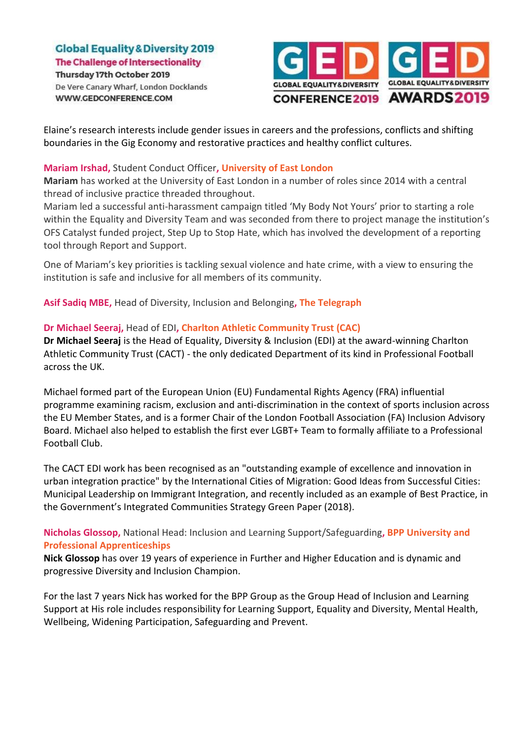

Elaine's research interests include gender issues in careers and the professions, conflicts and shifting boundaries in the Gig Economy and restorative practices and healthy conflict cultures.

## **Mariam Irshad,** Student Conduct Officer**, University of East LondonB**

**Mariam** has worked at the University of East London in a number of roles since 2014 with a central thread of inclusive practice threaded throughout.

Mariam led a successful anti-harassment campaign titled 'My Body Not Yours' prior to starting a role within the Equality and Diversity Team and was seconded from there to project manage the institution's OFS Catalyst funded project, Step Up to Stop Hate, which has involved the development of a reporting tool through Report and Support.

One of Mariam's key priorities is tackling sexual violence and hate crime, with a view to ensuring the institution is safe and inclusive for all members of its community.

**Asif Sadiq MBE,** Head of Diversity, Inclusion and Belonging**, The Telegraph**

## **Dr Michael Seeraj,** Head of EDI**, Charlton Athletic Community Trust (CAC)**

**Dr Michael Seeraj** is the Head of Equality, Diversity & Inclusion (EDI) at the award-winning Charlton Athletic Community Trust (CACT) - the only dedicated Department of its kind in Professional Football across the UK.

Michael formed part of the European Union (EU) Fundamental Rights Agency (FRA) influential programme examining racism, exclusion and anti-discrimination in the context of sports inclusion across the EU Member States, and is a former Chair of the London Football Association (FA) Inclusion Advisory Board. Michael also helped to establish the first ever LGBT+ Team to formally affiliate to a Professional Football Club.

The CACT EDI work has been recognised as an "outstanding example of excellence and innovation in urban integration practice" by the International Cities of Migration: Good Ideas from Successful Cities: Municipal Leadership on Immigrant Integration, and recently included as an example of Best Practice, in the Government's Integrated Communities Strategy Green Paper (2018).

**Nicholas Glossop,** National Head: Inclusion and Learning Support/Safeguarding**, BPP University and Professional Apprenticeships**

**Nick Glossop** has over 19 years of experience in Further and Higher Education and is dynamic and progressive Diversity and Inclusion Champion.

For the last 7 years Nick has worked for the BPP Group as the Group Head of Inclusion and Learning Support at His role includes responsibility for Learning Support, Equality and Diversity, Mental Health, Wellbeing, Widening Participation, Safeguarding and Prevent.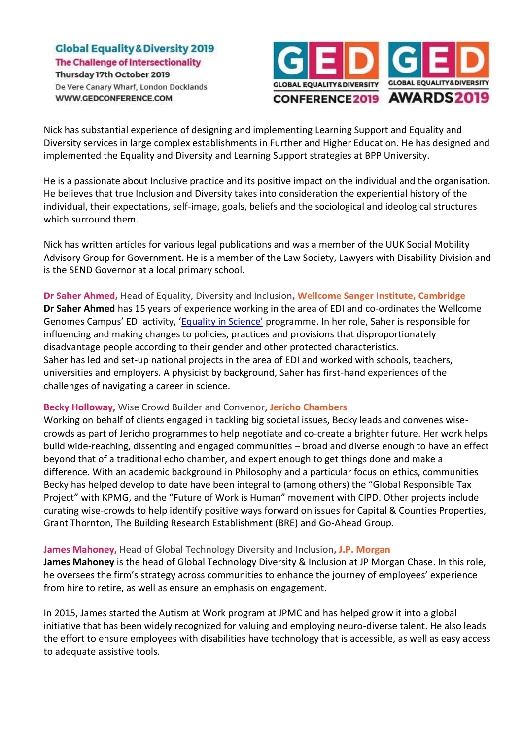

Nick has substantial experience of designing and implementing Learning Support and Equality and Diversity services in large complex establishments in Further and Higher Education. He has designed and implemented the Equality and Diversity and Learning Support strategies at BPP University.

He is a passionate about Inclusive practice and its positive impact on the individual and the organisation. He believes that true Inclusion and Diversity takes into consideration the experiential history of the individual, their expectations, self-image, goals, beliefs and the sociological and ideological structures which surround them.

Nick has written articles for various legal publications and was a member of the UUK Social Mobility Advisory Group for Government. He is a member of the Law Society, Lawyers with Disability Division and is the SEND Governor at a local primary school.

**Dr Saher Ahmed,** Head of Equality, Diversity and Inclusion**, Wellcome Sanger Institute, Cambridge Dr Saher Ahmed** has 15 years of experience working in the area of EDI and co-ordinates the Wellcome Genomes Campus' EDI activity, ['Equality in Science'](https://www.sanger.ac.uk/about/equality-science/equality-science-activities) programme. In her role, Saher is responsible for influencing and making changes to policies, practices and provisions that disproportionately disadvantage people according to their gender and other protected characteristics. Saher has led and set-up national projects in the area of EDI and worked with schools, teachers, universities and employers. A physicist by background, Saher has first-hand experiences of the challenges of navigating a career in science.

## **Becky Holloway,** Wise Crowd Builder and Convenor**, Jericho Chambers**

Working on behalf of clients engaged in tackling big societal issues, Becky leads and convenes wisecrowds as part of Jericho programmes to help negotiate and co-create a brighter future. Her work helps build wide-reaching, dissenting and engaged communities – broad and diverse enough to have an effect beyond that of a traditional echo chamber, and expert enough to get things done and make a difference. With an academic background in Philosophy and a particular focus on ethics, communities Becky has helped develop to date have been integral to (among others) the "Global Responsible Tax Project" with KPMG, and the "Future of Work is Human" movement with CIPD. Other projects include curating wise-crowds to help identify positive ways forward on issues for Capital & Counties Properties, Grant Thornton, The Building Research Establishment (BRE) and Go-Ahead Group.

## **James Mahoney,** Head of Global Technology Diversity and Inclusion**, J.P. Morgan**

**James Mahoney** is the head of Global Technology Diversity & Inclusion at JP Morgan Chase. In this role, he oversees the firm's strategy across communities to enhance the journey of employees' experience from hire to retire, as well as ensure an emphasis on engagement.

In 2015, James started the Autism at Work program at JPMC and has helped grow it into a global initiative that has been widely recognized for valuing and employing neuro-diverse talent. He also leads the effort to ensure employees with disabilities have technology that is accessible, as well as easy access to adequate assistive tools.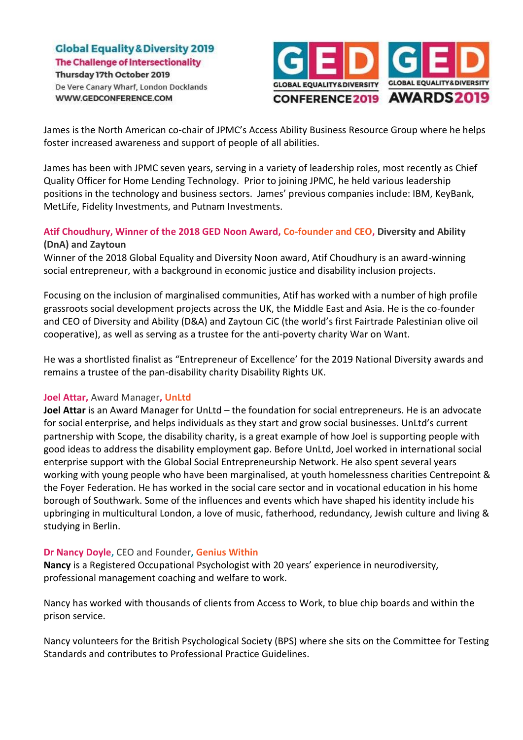

James is the North American co-chair of JPMC's Access Ability Business Resource Group where he helps foster increased awareness and support of people of all abilities.

James has been with JPMC seven years, serving in a variety of leadership roles, most recently as Chief Quality Officer for Home Lending Technology. Prior to joining JPMC, he held various leadership positions in the technology and business sectors. James' previous companies include: IBM, KeyBank, MetLife, Fidelity Investments, and Putnam Investments.

# **Atif Choudhury, Winner of the 2018 GED Noon Award, Co-founder and CEO, Diversity and Ability (DnA) and Zaytoun**

Winner of the 2018 Global Equality and Diversity Noon award, Atif Choudhury is an award-winning social entrepreneur, with a background in economic justice and disability inclusion projects.

Focusing on the inclusion of marginalised communities, Atif has worked with a number of high profile grassroots social development projects across the UK, the Middle East and Asia. He is the co-founder and CEO of Diversity and Ability (D&A) and Zaytoun CiC (the world's first Fairtrade Palestinian olive oil cooperative), as well as serving as a trustee for the anti-poverty charity War on Want.

He was a shortlisted finalist as "Entrepreneur of Excellence' for the 2019 National Diversity awards and remains a trustee of the pan-disability charity Disability Rights UK.

## **Joel Attar,** Award Manager**, UnLtd**

**Joel Attar** is an Award Manager for UnLtd – the foundation for social entrepreneurs. He is an advocate for social enterprise, and helps individuals as they start and grow social businesses. UnLtd's current partnership with Scope, the disability charity, is a great example of how Joel is supporting people with good ideas to address the disability employment gap. Before UnLtd, Joel worked in international social enterprise support with the Global Social Entrepreneurship Network. He also spent several years working with young people who have been marginalised, at youth homelessness charities Centrepoint & the Foyer Federation. He has worked in the social care sector and in vocational education in his home borough of Southwark. Some of the influences and events which have shaped his identity include his upbringing in multicultural London, a love of music, fatherhood, redundancy, Jewish culture and living & studying in Berlin.

## **Dr Nancy Doyle,** CEO and Founder**, Genius Within**

**Nancy** is a Registered Occupational Psychologist with 20 years' experience in neurodiversity, professional management coaching and welfare to work.

Nancy has worked with thousands of clients from Access to Work, to blue chip boards and within the prison service.

Nancy volunteers for the British Psychological Society (BPS) where she sits on the Committee for Testing Standards and contributes to Professional Practice Guidelines.